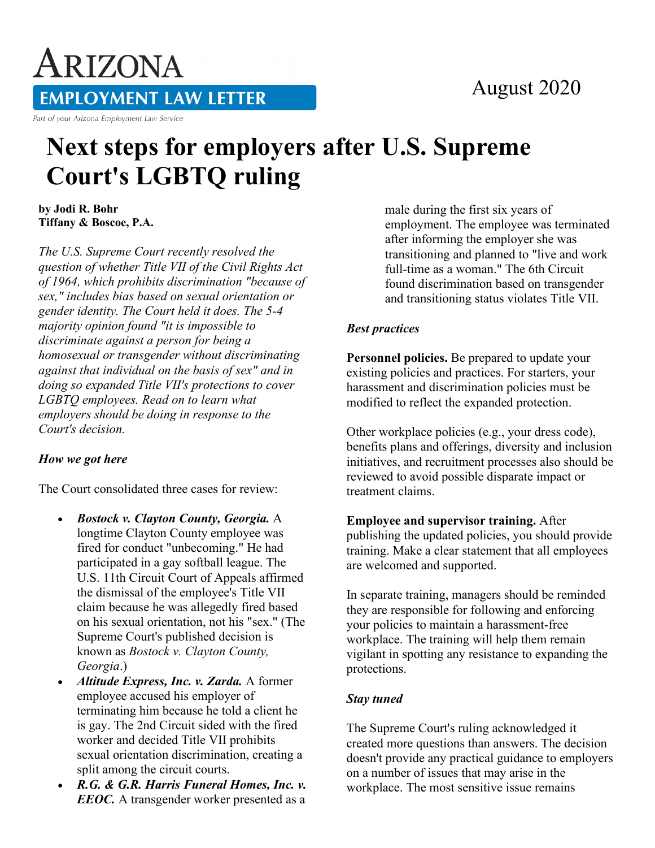### August 2020

# ARIZONA **EMPLOYMENT LAW LETTER**

Part of your Arizona Employment Law Service

## **Next steps for employers after U.S. Supreme Court's LGBTQ ruling**

**by Jodi R. Bohr Tiffany & Boscoe, P.A.**

*The U.S. Supreme Court recently resolved the question of whether Title VII of the Civil Rights Act of 1964, which prohibits discrimination "because of sex," includes bias based on sexual orientation or gender identity. The Court held it does. The 5-4 majority opinion found "it is impossible to discriminate against a person for being a homosexual or transgender without discriminating against that individual on the basis of sex" and in doing so expanded Title VII's protections to cover LGBTQ employees. Read on to learn what employers should be doing in response to the Court's decision.*

#### *How we got here*

The Court consolidated three cases for review:

- *Bostock v. Clayton County, Georgia.* A longtime Clayton County employee was fired for conduct "unbecoming." He had participated in a gay softball league. The U.S. 11th Circuit Court of Appeals affirmed the dismissal of the employee's Title VII claim because he was allegedly fired based on his sexual orientation, not his "sex." (The Supreme Court's published decision is known as *Bostock v. Clayton County, Georgia*.)
- *Altitude Express, Inc. v. Zarda.* A former employee accused his employer of terminating him because he told a client he is gay. The 2nd Circuit sided with the fired worker and decided Title VII prohibits sexual orientation discrimination, creating a split among the circuit courts.
- *R.G. & G.R. Harris Funeral Homes, Inc. v. EEOC.* A transgender worker presented as a

male during the first six years of employment. The employee was terminated after informing the employer she was transitioning and planned to "live and work full-time as a woman." The 6th Circuit found discrimination based on transgender and transitioning status violates Title VII.

#### *Best practices*

**Personnel policies.** Be prepared to update your existing policies and practices. For starters, your harassment and discrimination policies must be modified to reflect the expanded protection.

Other workplace policies (e.g., your dress code), benefits plans and offerings, diversity and inclusion initiatives, and recruitment processes also should be reviewed to avoid possible disparate impact or treatment claims.

**Employee and supervisor training.** After publishing the updated policies, you should provide training. Make a clear statement that all employees are welcomed and supported.

In separate training, managers should be reminded they are responsible for following and enforcing your policies to maintain a harassment-free workplace. The training will help them remain vigilant in spotting any resistance to expanding the protections.

#### *Stay tuned*

The Supreme Court's ruling acknowledged it created more questions than answers. The decision doesn't provide any practical guidance to employers on a number of issues that may arise in the workplace. The most sensitive issue remains